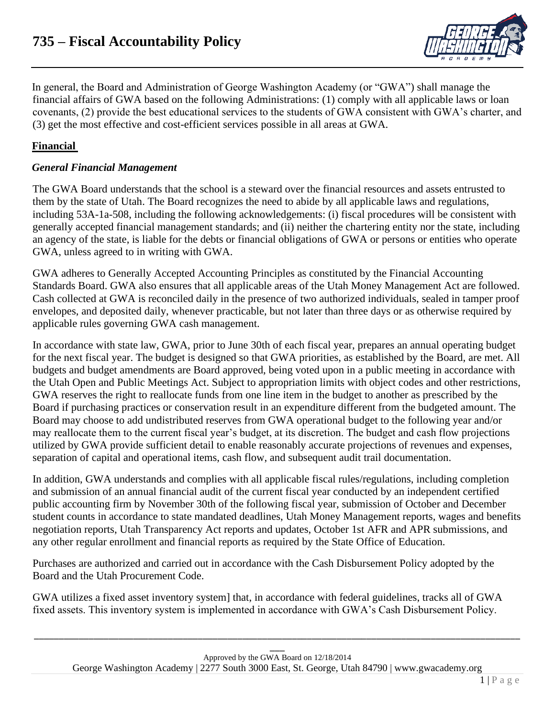

In general, the Board and Administration of George Washington Academy (or "GWA") shall manage the financial affairs of GWA based on the following Administrations: (1) comply with all applicable laws or loan covenants, (2) provide the best educational services to the students of GWA consistent with GWA's charter, and (3) get the most effective and cost-efficient services possible in all areas at GWA.

# **Financial**

### *General Financial Management*

The GWA Board understands that the school is a steward over the financial resources and assets entrusted to them by the state of Utah. The Board recognizes the need to abide by all applicable laws and regulations, including 53A-1a-508, including the following acknowledgements: (i) fiscal procedures will be consistent with generally accepted financial management standards; and (ii) neither the chartering entity nor the state, including an agency of the state, is liable for the debts or financial obligations of GWA or persons or entities who operate GWA, unless agreed to in writing with GWA.

GWA adheres to Generally Accepted Accounting Principles as constituted by the Financial Accounting Standards Board. GWA also ensures that all applicable areas of the Utah Money Management Act are followed. Cash collected at GWA is reconciled daily in the presence of two authorized individuals, sealed in tamper proof envelopes, and deposited daily, whenever practicable, but not later than three days or as otherwise required by applicable rules governing GWA cash management.

In accordance with state law, GWA, prior to June 30th of each fiscal year, prepares an annual operating budget for the next fiscal year. The budget is designed so that GWA priorities, as established by the Board, are met. All budgets and budget amendments are Board approved, being voted upon in a public meeting in accordance with the Utah Open and Public Meetings Act. Subject to appropriation limits with object codes and other restrictions, GWA reserves the right to reallocate funds from one line item in the budget to another as prescribed by the Board if purchasing practices or conservation result in an expenditure different from the budgeted amount. The Board may choose to add undistributed reserves from GWA operational budget to the following year and/or may reallocate them to the current fiscal year's budget, at its discretion. The budget and cash flow projections utilized by GWA provide sufficient detail to enable reasonably accurate projections of revenues and expenses, separation of capital and operational items, cash flow, and subsequent audit trail documentation.

In addition, GWA understands and complies with all applicable fiscal rules/regulations, including completion and submission of an annual financial audit of the current fiscal year conducted by an independent certified public accounting firm by November 30th of the following fiscal year, submission of October and December student counts in accordance to state mandated deadlines, Utah Money Management reports, wages and benefits negotiation reports, Utah Transparency Act reports and updates, October 1st AFR and APR submissions, and any other regular enrollment and financial reports as required by the State Office of Education.

Purchases are authorized and carried out in accordance with the Cash Disbursement Policy adopted by the Board and the Utah Procurement Code.

GWA utilizes a fixed asset inventory system] that, in accordance with federal guidelines, tracks all of GWA fixed assets. This inventory system is implemented in accordance with GWA's Cash Disbursement Policy.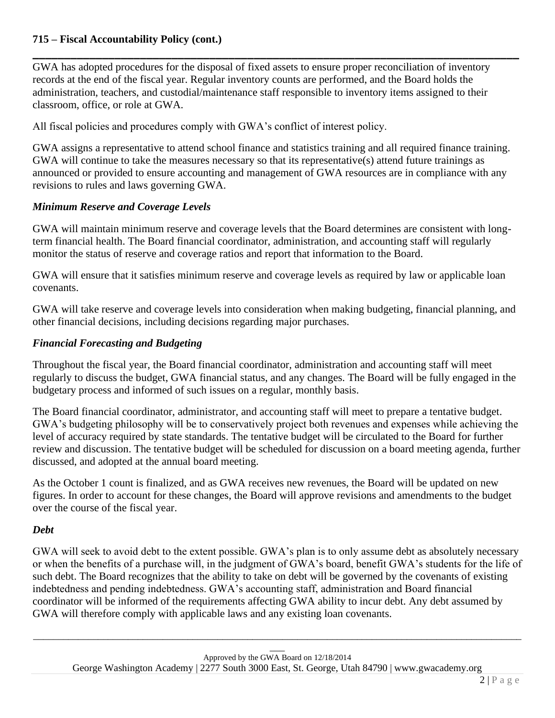# **715 – Fiscal Accountability Policy (cont.)**

GWA has adopted procedures for the disposal of fixed assets to ensure proper reconciliation of inventory records at the end of the fiscal year. Regular inventory counts are performed, and the Board holds the administration, teachers, and custodial/maintenance staff responsible to inventory items assigned to their classroom, office, or role at GWA.

**\_\_\_\_\_\_\_\_\_\_\_\_\_\_\_\_\_\_\_\_\_\_\_\_\_\_\_\_\_\_\_\_\_\_\_\_\_\_\_\_\_\_\_\_\_\_\_\_\_\_\_\_\_\_\_\_\_\_\_\_\_\_\_\_\_\_\_\_\_\_\_\_\_\_\_\_\_**

All fiscal policies and procedures comply with GWA's conflict of interest policy.

GWA assigns a representative to attend school finance and statistics training and all required finance training. GWA will continue to take the measures necessary so that its representative(s) attend future trainings as announced or provided to ensure accounting and management of GWA resources are in compliance with any revisions to rules and laws governing GWA.

### *Minimum Reserve and Coverage Levels*

GWA will maintain minimum reserve and coverage levels that the Board determines are consistent with longterm financial health. The Board financial coordinator, administration, and accounting staff will regularly monitor the status of reserve and coverage ratios and report that information to the Board.

GWA will ensure that it satisfies minimum reserve and coverage levels as required by law or applicable loan covenants.

GWA will take reserve and coverage levels into consideration when making budgeting, financial planning, and other financial decisions, including decisions regarding major purchases.

### *Financial Forecasting and Budgeting*

Throughout the fiscal year, the Board financial coordinator, administration and accounting staff will meet regularly to discuss the budget, GWA financial status, and any changes. The Board will be fully engaged in the budgetary process and informed of such issues on a regular, monthly basis.

The Board financial coordinator, administrator, and accounting staff will meet to prepare a tentative budget. GWA's budgeting philosophy will be to conservatively project both revenues and expenses while achieving the level of accuracy required by state standards. The tentative budget will be circulated to the Board for further review and discussion. The tentative budget will be scheduled for discussion on a board meeting agenda, further discussed, and adopted at the annual board meeting.

As the October 1 count is finalized, and as GWA receives new revenues, the Board will be updated on new figures. In order to account for these changes, the Board will approve revisions and amendments to the budget over the course of the fiscal year.

### *Debt*

GWA will seek to avoid debt to the extent possible. GWA's plan is to only assume debt as absolutely necessary or when the benefits of a purchase will, in the judgment of GWA's board, benefit GWA's students for the life of such debt. The Board recognizes that the ability to take on debt will be governed by the covenants of existing indebtedness and pending indebtedness. GWA's accounting staff, administration and Board financial coordinator will be informed of the requirements affecting GWA ability to incur debt. Any debt assumed by GWA will therefore comply with applicable laws and any existing loan covenants.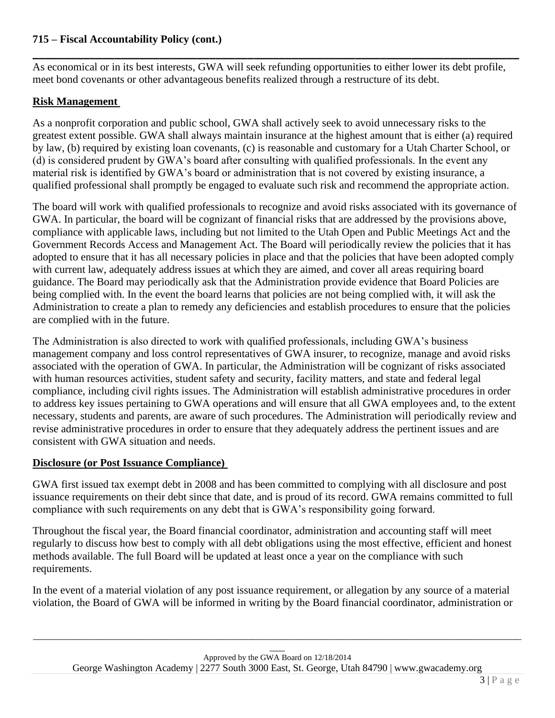### **715 – Fiscal Accountability Policy (cont.)**

As economical or in its best interests, GWA will seek refunding opportunities to either lower its debt profile, meet bond covenants or other advantageous benefits realized through a restructure of its debt.

**\_\_\_\_\_\_\_\_\_\_\_\_\_\_\_\_\_\_\_\_\_\_\_\_\_\_\_\_\_\_\_\_\_\_\_\_\_\_\_\_\_\_\_\_\_\_\_\_\_\_\_\_\_\_\_\_\_\_\_\_\_\_\_\_\_\_\_\_\_\_\_\_\_\_\_\_\_**

#### **Risk Management**

As a nonprofit corporation and public school, GWA shall actively seek to avoid unnecessary risks to the greatest extent possible. GWA shall always maintain insurance at the highest amount that is either (a) required by law, (b) required by existing loan covenants, (c) is reasonable and customary for a Utah Charter School, or (d) is considered prudent by GWA's board after consulting with qualified professionals. In the event any material risk is identified by GWA's board or administration that is not covered by existing insurance, a qualified professional shall promptly be engaged to evaluate such risk and recommend the appropriate action.

The board will work with qualified professionals to recognize and avoid risks associated with its governance of GWA. In particular, the board will be cognizant of financial risks that are addressed by the provisions above, compliance with applicable laws, including but not limited to the Utah Open and Public Meetings Act and the Government Records Access and Management Act. The Board will periodically review the policies that it has adopted to ensure that it has all necessary policies in place and that the policies that have been adopted comply with current law, adequately address issues at which they are aimed, and cover all areas requiring board guidance. The Board may periodically ask that the Administration provide evidence that Board Policies are being complied with. In the event the board learns that policies are not being complied with, it will ask the Administration to create a plan to remedy any deficiencies and establish procedures to ensure that the policies are complied with in the future.

The Administration is also directed to work with qualified professionals, including GWA's business management company and loss control representatives of GWA insurer, to recognize, manage and avoid risks associated with the operation of GWA. In particular, the Administration will be cognizant of risks associated with human resources activities, student safety and security, facility matters, and state and federal legal compliance, including civil rights issues. The Administration will establish administrative procedures in order to address key issues pertaining to GWA operations and will ensure that all GWA employees and, to the extent necessary, students and parents, are aware of such procedures. The Administration will periodically review and revise administrative procedures in order to ensure that they adequately address the pertinent issues and are consistent with GWA situation and needs.

### **Disclosure (or Post Issuance Compliance)**

GWA first issued tax exempt debt in 2008 and has been committed to complying with all disclosure and post issuance requirements on their debt since that date, and is proud of its record. GWA remains committed to full compliance with such requirements on any debt that is GWA's responsibility going forward.

Throughout the fiscal year, the Board financial coordinator, administration and accounting staff will meet regularly to discuss how best to comply with all debt obligations using the most effective, efficient and honest methods available. The full Board will be updated at least once a year on the compliance with such requirements.

In the event of a material violation of any post issuance requirement, or allegation by any source of a material violation, the Board of GWA will be informed in writing by the Board financial coordinator, administration or